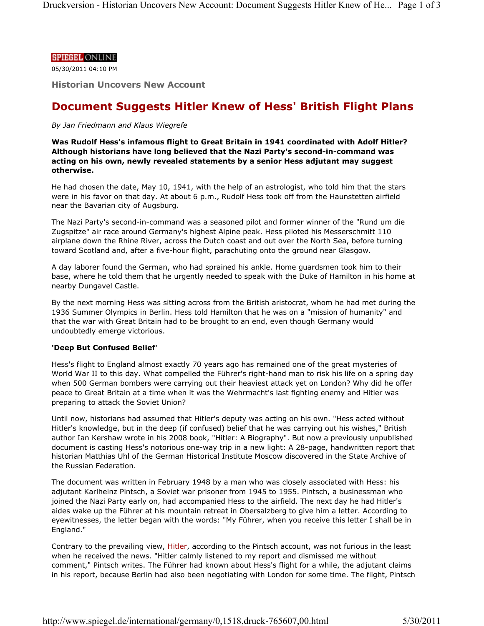## **SPIEGEL ONLINE**

05/30/2011 04:10 PM

**Historian Uncovers New Account**

# **Document Suggests Hitler Knew of Hess' British Flight Plans**

*By Jan Friedmann and Klaus Wiegrefe*

**Was Rudolf Hess's infamous flight to Great Britain in 1941 coordinated with Adolf Hitler? Although historians have long believed that the Nazi Party's second-in-command was acting on his own, newly revealed statements by a senior Hess adjutant may suggest otherwise.**

He had chosen the date, May 10, 1941, with the help of an astrologist, who told him that the stars were in his favor on that day. At about 6 p.m., Rudolf Hess took off from the Haunstetten airfield near the Bavarian city of Augsburg.

The Nazi Party's second-in-command was a seasoned pilot and former winner of the "Rund um die Zugspitze" air race around Germany's highest Alpine peak. Hess piloted his Messerschmitt 110 airplane down the Rhine River, across the Dutch coast and out over the North Sea, before turning toward Scotland and, after a five-hour flight, parachuting onto the ground near Glasgow.

A day laborer found the German, who had sprained his ankle. Home guardsmen took him to their base, where he told them that he urgently needed to speak with the Duke of Hamilton in his home at nearby Dungavel Castle.

By the next morning Hess was sitting across from the British aristocrat, whom he had met during the 1936 Summer Olympics in Berlin. Hess told Hamilton that he was on a "mission of humanity" and that the war with Great Britain had to be brought to an end, even though Germany would undoubtedly emerge victorious.

# **'Deep But Confused Belief'**

Hess's flight to England almost exactly 70 years ago has remained one of the great mysteries of World War II to this day. What compelled the Führer's right-hand man to risk his life on a spring day when 500 German bombers were carrying out their heaviest attack yet on London? Why did he offer peace to Great Britain at a time when it was the Wehrmacht's last fighting enemy and Hitler was preparing to attack the Soviet Union?

Until now, historians had assumed that Hitler's deputy was acting on his own. "Hess acted without Hitler's knowledge, but in the deep (if confused) belief that he was carrying out his wishes," British author Ian Kershaw wrote in his 2008 book, "Hitler: A Biography". But now a previously unpublished document is casting Hess's notorious one-way trip in a new light: A 28-page, handwritten report that historian Matthias Uhl of the German Historical Institute Moscow discovered in the State Archive of the Russian Federation.

The document was written in February 1948 by a man who was closely associated with Hess: his adjutant Karlheinz Pintsch, a Soviet war prisoner from 1945 to 1955. Pintsch, a businessman who joined the Nazi Party early on, had accompanied Hess to the airfield. The next day he had Hitler's aides wake up the Führer at his mountain retreat in Obersalzberg to give him a letter. According to eyewitnesses, the letter began with the words: "My Führer, when you receive this letter I shall be in England."

Contrary to the prevailing view, Hitler, according to the Pintsch account, was not furious in the least when he received the news. "Hitler calmly listened to my report and dismissed me without comment," Pintsch writes. The Führer had known about Hess's flight for a while, the adjutant claims in his report, because Berlin had also been negotiating with London for some time. The flight, Pintsch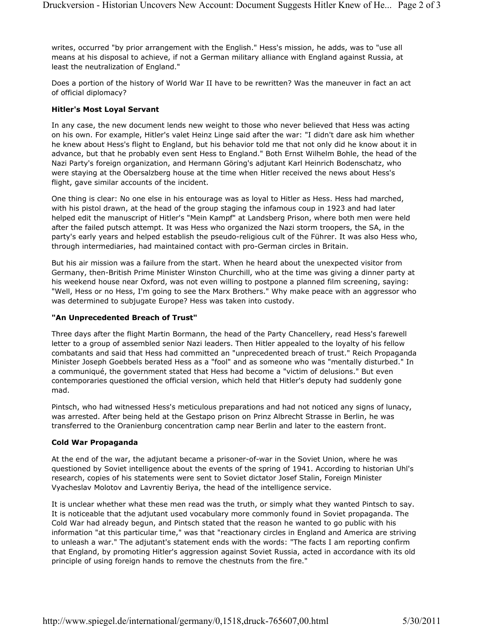writes, occurred "by prior arrangement with the English." Hess's mission, he adds, was to "use all means at his disposal to achieve, if not a German military alliance with England against Russia, at least the neutralization of England."

Does a portion of the history of World War II have to be rewritten? Was the maneuver in fact an act of official diplomacy?

# **Hitler's Most Loyal Servant**

In any case, the new document lends new weight to those who never believed that Hess was acting on his own. For example, Hitler's valet Heinz Linge said after the war: "I didn't dare ask him whether he knew about Hess's flight to England, but his behavior told me that not only did he know about it in advance, but that he probably even sent Hess to England." Both Ernst Wilhelm Bohle, the head of the Nazi Party's foreign organization, and Hermann Göring's adjutant Karl Heinrich Bodenschatz, who were staying at the Obersalzberg house at the time when Hitler received the news about Hess's flight, gave similar accounts of the incident.

One thing is clear: No one else in his entourage was as loyal to Hitler as Hess. Hess had marched, with his pistol drawn, at the head of the group staging the infamous coup in 1923 and had later helped edit the manuscript of Hitler's "Mein Kampf" at Landsberg Prison, where both men were held after the failed putsch attempt. It was Hess who organized the Nazi storm troopers, the SA, in the party's early years and helped establish the pseudo-religious cult of the Führer. It was also Hess who, through intermediaries, had maintained contact with pro-German circles in Britain.

But his air mission was a failure from the start. When he heard about the unexpected visitor from Germany, then-British Prime Minister Winston Churchill, who at the time was giving a dinner party at his weekend house near Oxford, was not even willing to postpone a planned film screening, saying: "Well, Hess or no Hess, I'm going to see the Marx Brothers." Why make peace with an aggressor who was determined to subjugate Europe? Hess was taken into custody.

## **"An Unprecedented Breach of Trust"**

Three days after the flight Martin Bormann, the head of the Party Chancellery, read Hess's farewell letter to a group of assembled senior Nazi leaders. Then Hitler appealed to the loyalty of his fellow combatants and said that Hess had committed an "unprecedented breach of trust." Reich Propaganda Minister Joseph Goebbels berated Hess as a "fool" and as someone who was "mentally disturbed." In a communiqué, the government stated that Hess had become a "victim of delusions." But even contemporaries questioned the official version, which held that Hitler's deputy had suddenly gone mad.

Pintsch, who had witnessed Hess's meticulous preparations and had not noticed any signs of lunacy, was arrested. After being held at the Gestapo prison on Prinz Albrecht Strasse in Berlin, he was transferred to the Oranienburg concentration camp near Berlin and later to the eastern front.

# **Cold War Propaganda**

At the end of the war, the adjutant became a prisoner-of-war in the Soviet Union, where he was questioned by Soviet intelligence about the events of the spring of 1941. According to historian Uhl's research, copies of his statements were sent to Soviet dictator Josef Stalin, Foreign Minister Vyacheslav Molotov and Lavrentiy Beriya, the head of the intelligence service.

It is unclear whether what these men read was the truth, or simply what they wanted Pintsch to say. It is noticeable that the adjutant used vocabulary more commonly found in Soviet propaganda. The Cold War had already begun, and Pintsch stated that the reason he wanted to go public with his information "at this particular time," was that "reactionary circles in England and America are striving to unleash a war." The adjutant's statement ends with the words: "The facts I am reporting confirm that England, by promoting Hitler's aggression against Soviet Russia, acted in accordance with its old principle of using foreign hands to remove the chestnuts from the fire."